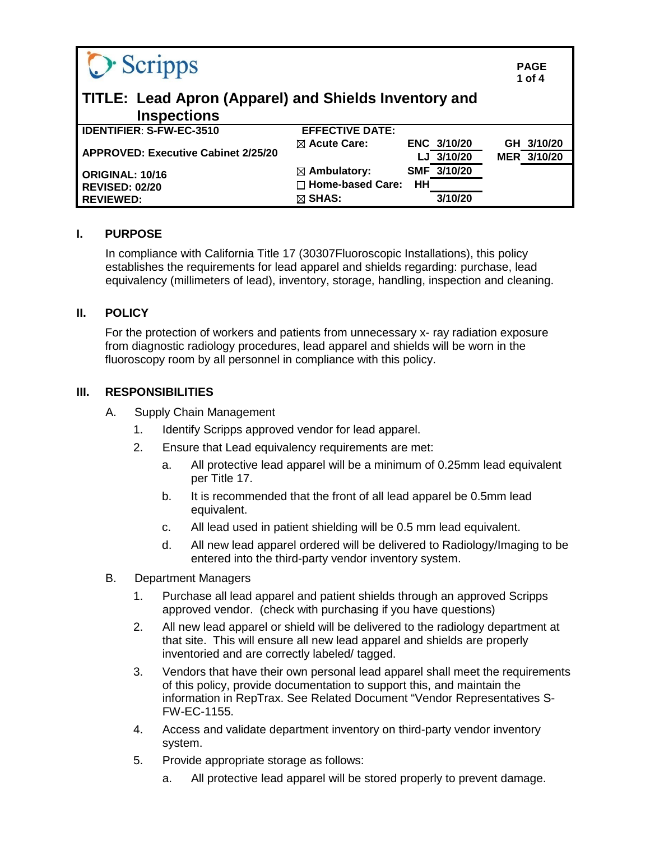| O Scripps                                                                   |                         |             | <b>PAGE</b><br>1 of $4$ |
|-----------------------------------------------------------------------------|-------------------------|-------------|-------------------------|
| TITLE: Lead Apron (Apparel) and Shields Inventory and<br><b>Inspections</b> |                         |             |                         |
| <b>IDENTIFIER: S-FW-EC-3510</b>                                             | <b>EFFECTIVE DATE:</b>  |             |                         |
| <b>APPROVED: Executive Cabinet 2/25/20</b>                                  | $\boxtimes$ Acute Care: | ENC 3/10/20 | GH 3/10/20              |
|                                                                             |                         | LJ 3/10/20  | MER 3/10/20             |
| <b>ORIGINAL: 10/16</b>                                                      | $\boxtimes$ Ambulatory: | SMF 3/10/20 |                         |
| <b>REVISED: 02/20</b>                                                       | $\Box$ Home-based Care: | HH          |                         |
| <b>REVIEWED:</b>                                                            | $\boxtimes$ SHAS:       | 3/10/20     |                         |

## **I. PURPOSE**

In compliance with California Title 17 (30307Fluoroscopic Installations), this policy establishes the requirements for lead apparel and shields regarding: purchase, lead equivalency (millimeters of lead), inventory, storage, handling, inspection and cleaning.

## **II. POLICY**

For the protection of workers and patients from unnecessary x- ray radiation exposure from diagnostic radiology procedures, lead apparel and shields will be worn in the fluoroscopy room by all personnel in compliance with this policy.

#### **III. RESPONSIBILITIES**

- A. Supply Chain Management
	- 1. Identify Scripps approved vendor for lead apparel.
	- 2. Ensure that Lead equivalency requirements are met:
		- a. All protective lead apparel will be a minimum of 0.25mm lead equivalent per Title 17.
		- b. It is recommended that the front of all lead apparel be 0.5mm lead equivalent.
		- c. All lead used in patient shielding will be 0.5 mm lead equivalent.
		- d. All new lead apparel ordered will be delivered to Radiology/Imaging to be entered into the third-party vendor inventory system.
- B. Department Managers
	- 1. Purchase all lead apparel and patient shields through an approved Scripps approved vendor. (check with purchasing if you have questions)
	- 2. All new lead apparel or shield will be delivered to the radiology department at that site. This will ensure all new lead apparel and shields are properly inventoried and are correctly labeled/ tagged.
	- 3. Vendors that have their own personal lead apparel shall meet the requirements of this policy, provide documentation to support this, and maintain the information in RepTrax. See Related Document "Vendor Representatives S-FW-EC-1155.
	- 4. Access and validate department inventory on third-party vendor inventory system.
	- 5. Provide appropriate storage as follows:
		- a. All protective lead apparel will be stored properly to prevent damage.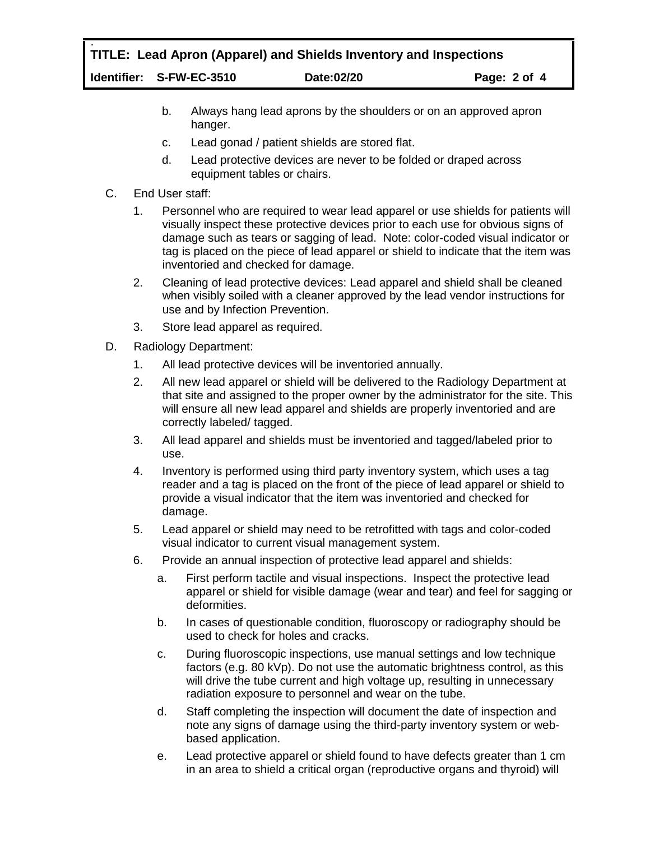# : **TITLE: Lead Apron (Apparel) and Shields Inventory and Inspections Identifier: S-FW-EC-3510 Date:02/20 Page: 2 of 4**

- b. Always hang lead aprons by the shoulders or on an approved apron hanger.
- c. Lead gonad / patient shields are stored flat.
- d. Lead protective devices are never to be folded or draped across equipment tables or chairs.
- C. End User staff:
	- 1. Personnel who are required to wear lead apparel or use shields for patients will visually inspect these protective devices prior to each use for obvious signs of damage such as tears or sagging of lead. Note: color-coded visual indicator or tag is placed on the piece of lead apparel or shield to indicate that the item was inventoried and checked for damage.
	- 2. Cleaning of lead protective devices: Lead apparel and shield shall be cleaned when visibly soiled with a cleaner approved by the lead vendor instructions for use and by Infection Prevention.
	- 3. Store lead apparel as required.
- D. Radiology Department:
	- 1. All lead protective devices will be inventoried annually.
	- 2. All new lead apparel or shield will be delivered to the Radiology Department at that site and assigned to the proper owner by the administrator for the site. This will ensure all new lead apparel and shields are properly inventoried and are correctly labeled/ tagged.
	- 3. All lead apparel and shields must be inventoried and tagged/labeled prior to use.
	- 4. Inventory is performed using third party inventory system, which uses a tag reader and a tag is placed on the front of the piece of lead apparel or shield to provide a visual indicator that the item was inventoried and checked for damage.
	- 5. Lead apparel or shield may need to be retrofitted with tags and color-coded visual indicator to current visual management system.
	- 6. Provide an annual inspection of protective lead apparel and shields:
		- a. First perform tactile and visual inspections. Inspect the protective lead apparel or shield for visible damage (wear and tear) and feel for sagging or deformities.
		- b. In cases of questionable condition, fluoroscopy or radiography should be used to check for holes and cracks.
		- c. During fluoroscopic inspections, use manual settings and low technique factors (e.g. 80 kVp). Do not use the automatic brightness control, as this will drive the tube current and high voltage up, resulting in unnecessary radiation exposure to personnel and wear on the tube.
		- d. Staff completing the inspection will document the date of inspection and note any signs of damage using the third-party inventory system or webbased application.
		- e. Lead protective apparel or shield found to have defects greater than 1 cm in an area to shield a critical organ (reproductive organs and thyroid) will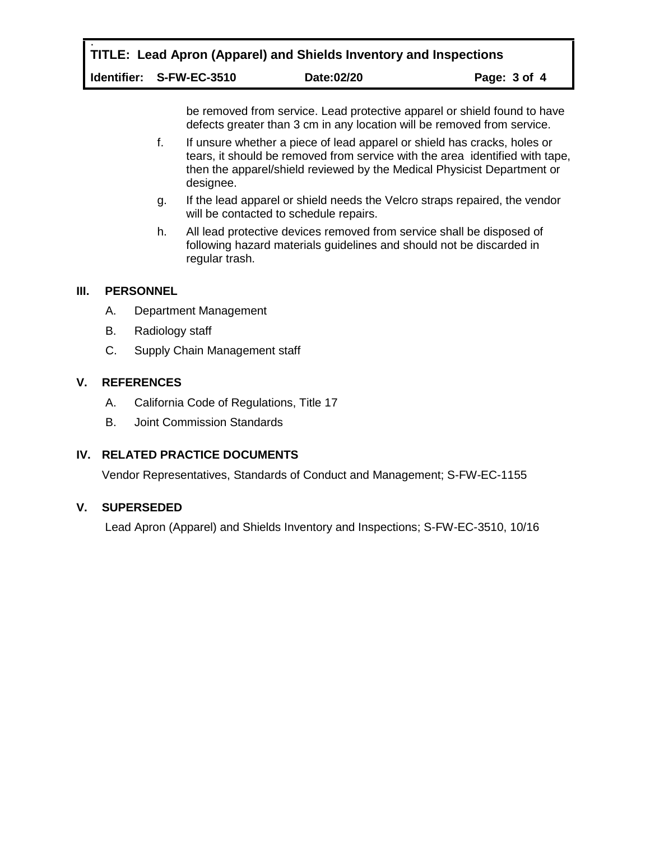: **TITLE: Lead Apron (Apparel) and Shields Inventory and Inspections**

**Identifier: S-FW-EC-3510 Date:02/20 Page: 3 of 4**

be removed from service. Lead protective apparel or shield found to have defects greater than 3 cm in any location will be removed from service.

- f. If unsure whether a piece of lead apparel or shield has cracks, holes or tears, it should be removed from service with the area identified with tape, then the apparel/shield reviewed by the Medical Physicist Department or designee.
- g. If the lead apparel or shield needs the Velcro straps repaired, the vendor will be contacted to schedule repairs.
- h. All lead protective devices removed from service shall be disposed of following hazard materials guidelines and should not be discarded in regular trash.

## **III. PERSONNEL**

- A. Department Management
- B. Radiology staff
- C. Supply Chain Management staff

## **V. REFERENCES**

- A. California Code of Regulations, Title 17
- B. Joint Commission Standards

# **IV. RELATED PRACTICE DOCUMENTS**

Vendor Representatives, Standards of Conduct and Management; S-FW-EC-1155

## **V. SUPERSEDED**

Lead Apron (Apparel) and Shields Inventory and Inspections; S-FW-EC-3510, 10/16